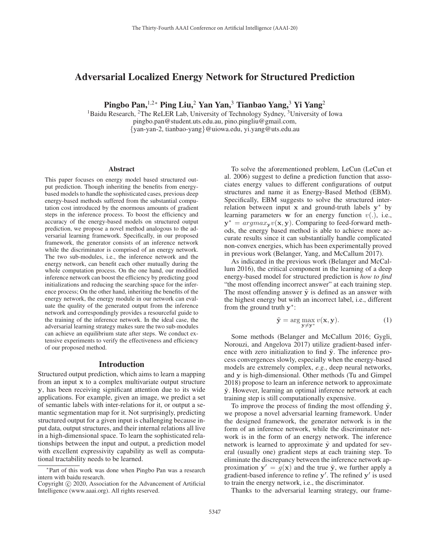# Adversarial Localized Energy Network for Structured Prediction

Pingbo Pan,<sup>1,2∗</sup> Ping Liu,<sup>2</sup> Yan Yan,<sup>3</sup> Tianbao Yang,<sup>3</sup> Yi Yang<sup>2</sup>

<sup>1</sup>Baidu Research, <sup>2</sup>The ReLER Lab, University of Technology Sydney, <sup>3</sup>University of Iowa pingbo.pan@student.uts.edu.au, pino.pingliu@gmail.com, {yan-yan-2, tianbao-yang}@uiowa.edu, yi.yang@uts.edu.au

#### Abstract

This paper focuses on energy model based structured output prediction. Though inheriting the benefits from energybased models to handle the sophisticated cases, previous deep energy-based methods suffered from the substantial computation cost introduced by the enormous amounts of gradient steps in the inference process. To boost the efficiency and accuracy of the energy-based models on structured output prediction, we propose a novel method analogous to the adversarial learning framework. Specifically, in our proposed framework, the generator consists of an inference network while the discriminator is comprised of an energy network. The two sub-modules, i.e., the inference network and the energy network, can benefit each other mutually during the whole computation process. On the one hand, our modified inference network can boost the efficiency by predicting good initializations and reducing the searching space for the inference process; On the other hand, inheriting the benefits of the energy network, the energy module in our network can evaluate the quality of the generated output from the inference network and correspondingly provides a resourceful guide to the training of the inference network. In the ideal case, the adversarial learning strategy makes sure the two sub-modules can achieve an equilibrium state after steps. We conduct extensive experiments to verify the effectiveness and efficiency of our proposed method.

#### Introduction

Structured output prediction, which aims to learn a mapping from an input **x** to a complex multivariate output structure **y**, has been receiving significant attention due to its wide applications. For example, given an image, we predict a set of semantic labels with inter-relations for it, or output a semantic segmentation map for it. Not surprisingly, predicting structured output for a given input is challenging because input data, output structures, and their internal relations all live in a high-dimensional space. To learn the sophisticated relationships between the input and output, a prediction model with excellent expressivity capability as well as computational tractability needs to be learned.

To solve the aforementioned problem, LeCun (LeCun et al. 2006) suggest to define a prediction function that associates energy values to different configurations of output structures and name it as Energy-Based Method (EBM). Specifically, EBM suggests to solve the structured interrelation between input **x** and ground-truth labels **y**<sup>∗</sup> by learning parameters **w** for an energy function  $v(.)$ , i.e.,  $y^* = argmax_y v(x, y)$ . Comparing to feed-forward methods, the energy based method is able to achieve more accurate results since it can substantially handle complicated non-convex energies, which has been experimentally proved in previous work (Belanger, Yang, and McCallum 2017).

As indicated in the previous work (Belanger and McCallum 2016), the critical component in the learning of a deep energy-based model for structured prediction is *how to find* "the most offending incorrect answer" at each training step. The most offending answer  $\tilde{y}$  is defined as an answer with the highest energy but with an incorrect label, i.e., different from the ground truth **y**∗:

$$
\tilde{\mathbf{y}} = \arg \max_{\mathbf{y} \neq \mathbf{y}^*} v(\mathbf{x}, \mathbf{y}). \tag{1}
$$

Some methods (Belanger and McCallum 2016; Gygli, Norouzi, and Angelova 2017) utilize gradient-based inference with zero initialization to find  $\tilde{y}$ . The inference process convergences slowly, especially when the energy-based models are extremely complex, *e.g.*, deep neural networks, and **y** is high-dimensional. Other methods (Tu and Gimpel 2018) propose to learn an inference network to approximate **<sup>y</sup>**˜. However, learning an optimal inference network at each training step is still computationally expensive.

To improve the process of finding the most offending  $\tilde{y}$ , we propose a novel adversarial learning framework. Under the designed framework, the generator network is in the form of an inference network, while the discriminator network is in the form of an energy network. The inference network is learned to approximate  $\tilde{y}$  and updated for several (usually one) gradient steps at each training step. To eliminate the discrepancy between the inference network approximation  $y' = g(x)$  and the true  $\tilde{y}$ , we further apply a gradient-based inference to refine **y** . The refined **y** is used to train the energy network, i.e., the discriminator.

Thanks to the adversarial learning strategy, our frame-

<sup>∗</sup>Part of this work was done when Pingbo Pan was a research intern with baidu research.

Copyright  $\odot$  2020, Association for the Advancement of Artificial Intelligence (www.aaai.org). All rights reserved.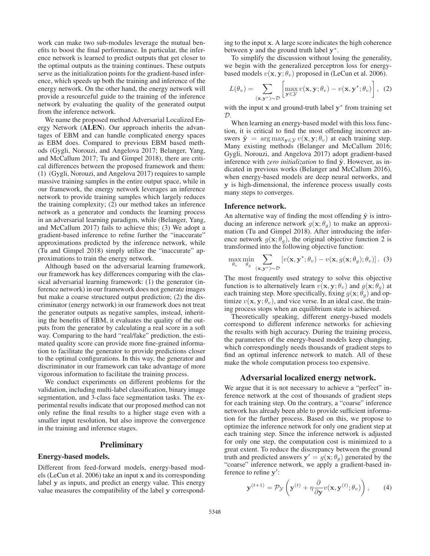work can make two sub-modules leverage the mutual benefits to boost the final performance. In particular, the inference network is learned to predict outputs that get closer to the optimal outputs as the training continues. These outputs serve as the initialization points for the gradient-based inference, which speeds up both the training and inference of the energy network. On the other hand, the energy network will provide a resourceful guide to the training of the inference network by evaluating the quality of the generated output from the inference network.

We name the proposed method Adversarial Localized Energy Network (ALEN). Our approach inherits the advantages of EBM and can handle complicated energy spaces as EBM does. Compared to previous EBM based methods (Gygli, Norouzi, and Angelova 2017; Belanger, Yang, and McCallum 2017; Tu and Gimpel 2018), there are critical differences between the proposed framework and them: (1) (Gygli, Norouzi, and Angelova 2017) requires to sample massive training samples in the entire output space, while in our framework, the energy network leverages an inference network to provide training samples which largely reduces the training complexity; (2) our method takes an inference network as a generator and conducts the learning process in an adversarial learning paradigm, while (Belanger, Yang, and McCallum 2017) fails to achieve this; (3) We adopt a gradient-based inference to refine further the "inaccurate" approximations predicted by the inference network, while (Tu and Gimpel 2018) simply utilize the "inaccurate" approximations to train the energy network.

Although based on the adversarial learning framework, our framework has key differences comparing with the classical adversarial learning framework: (1) the generator (inference network) in our framework does not generate images but make a coarse structured output prediction; (2) the discriminator (energy network) in our framework does not treat the generator outputs as negative samples, instead, inheriting the benefits of EBM, it evaluates the quality of the outputs from the generator by calculating a real score in a soft way. Comparing to the hard "real/fake" prediction, the estimated quality score can provide more fine-grained information to facilitate the generator to provide predictions closer to the optimal configurations. In this way, the generator and discriminator in our framework can take advantage of more vigorous information to facilitate the training process.

We conduct experiments on different problems for the validation, including multi-label classification, binary image segmentation, and 3-class face segmentation tasks. The experimental results indicate that our proposed method can not only refine the final results to a higher stage even with a smaller input resolution, but also improve the convergence in the training and inference stages.

### **Preliminary**

### Energy-based models.

Different from feed-forward models, energy-based models (LeCun et al. 2006) take an input **x** and its corresponding label **y** as inputs, and predict an energy value. This energy value measures the compatibility of the label **y** corresponding to the input **x**. A large score indicates the high coherence between **y** and the ground truth label **y**∗.

To simplify the discussion without losing the generality, we begin with the generalized perceptron loss for energybased models  $v(\mathbf{x}, \mathbf{y}; \theta_v)$  proposed in (LeCun et al. 2006).

$$
L(\theta_v) = \sum_{(\mathbf{x}, \mathbf{y}^*) \sim \mathcal{D}} \left[ \max_{\mathbf{y} \in \mathcal{Y}} v(\mathbf{x}, \mathbf{y}; \theta_v) - v(\mathbf{x}, \mathbf{y}^*; \theta_v) \right], \tag{2}
$$

with the input **x** and ground-truth label **y**<sup>∗</sup> from training set D.

When learning an energy-based model with this loss function, it is critical to find the most offending incorrect answers  $\tilde{\mathbf{y}} = \arg \max_{\mathbf{y} \in \mathcal{Y}} v(\mathbf{x}, \mathbf{y}; \theta_v)$  at each training step. Many existing methods (Belanger and McCallum 2016; Gygli, Norouzi, and Angelova 2017) adopt gradient-based inference with *zero initialization* to find  $\tilde{y}$ . However, as indicated in previous works (Belanger and McCallum 2016), when energy-based models are deep neural networks, and **y** is high-dimensional, the inference process usually costs many steps to converges.

#### Inference network.

An alternative way of finding the most offending  $\tilde{y}$  is introducing an inference network  $g(\mathbf{x}; \theta_q)$  to make an approximation (Tu and Gimpel 2018). After introducing the inference network  $g(\mathbf{x}; \theta_a)$ , the original objective function 2 is transformed into the following objective function:

$$
\max_{\theta_v} \min_{\theta_g} \sum_{(\mathbf{x}, \mathbf{y}^*) \sim \mathcal{D}} \left[ v(\mathbf{x}, \mathbf{y}^*; \theta_v) - v(\mathbf{x}, g(\mathbf{x}; \theta_g); \theta_v) \right]. \tag{3}
$$

The most frequently used strategy to solve this objective function is to alternatively learn  $v(\mathbf{x}, \mathbf{y}; \theta_v)$  and  $g(\mathbf{x}; \theta_g)$  at each training step. More specifically, fixing  $g(\mathbf{x}; \theta_q)$  and optimize  $v(\mathbf{x}, \mathbf{y}; \theta_v)$ , and vice verse. In an ideal case, the training process stops when an equilibrium state is achieved.

Theoretically speaking, different energy-based models correspond to different inference networks for achieving the results with high accuracy. During the training process, the parameters of the energy-based models keep changing, which correspondingly needs thousands of gradient steps to find an optimal inference network to match. All of these make the whole computation process too expensive.

## Adversarial localized energy network.

We argue that it is not necessary to achieve a "perfect" inference network at the cost of thousands of gradient steps for each training step. On the contrary, a "coarse" inference network has already been able to provide sufficient information for the further process. Based on this, we propose to optimize the inference network for only one gradient step at each training step. Since the inference network is adjusted for only one step, the computation cost is minimized to a great extent. To reduce the discrepancy between the ground truth and predicted answers  $y' = g(x; \theta_a)$  generated by the "coarse" inference network, we apply a gradient-based inference to refine **y** :

$$
\mathbf{y}^{(t+1)} = \mathcal{P}_{\mathcal{Y}}\left(\mathbf{y}^{(t)} + \eta \frac{\partial}{\partial \mathbf{y}} v(\mathbf{x}, \mathbf{y}^{(t)}; \theta_v)\right), \qquad (4)
$$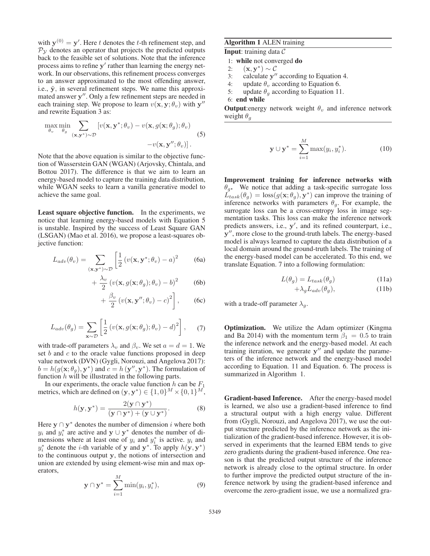with  $\mathbf{y}^{(0)} = \mathbf{y}'$ . Here t denotes the t-th refinement step, and  $\mathcal{D}_v$  denotes an operator that projects the predicted outputs  $P<sub>V</sub>$  denotes an operator that projects the predicted outputs back to the feasible set of solutions. Note that the inference process aims to refine **y**' rather than learning the energy network. In our observations, this refinement process converges to an answer approximated to the most offending answer, i.e.,  $\tilde{y}$ , in several refinement steps. We name this approximated answer y". Only a few refinement steps are needed in each training step. We propose to learn  $v(\mathbf{x}, \mathbf{y}; \theta_v)$  with  $\mathbf{y}''$ and rewrite Equation 3 as:

$$
\max_{\theta_v} \min_{\theta_g} \sum_{(\mathbf{x}, \mathbf{y}^*) \sim \mathcal{D}} \left[ v(\mathbf{x}, \mathbf{y}^*; \theta_v) - v(\mathbf{x}, g(\mathbf{x}; \theta_g); \theta_v) \right] -v(\mathbf{x}, \mathbf{y}''; \theta_v) \right].
$$
\n(5)

Note that the above equation is similar to the objective function of Wasserstein GAN (WGAN) (Arjovsky, Chintala, and Bottou 2017). The difference is that we aim to learn an energy-based model to capture the training data distribution, while WGAN seeks to learn a vanilla generative model to achieve the same goal.

Least square objective function. In the experiments, we notice that learning energy-based models with Equation 5 is unstable. Inspired by the success of Least Square GAN (LSGAN) (Mao et al. 2016), we propose a least-squares objective function:

$$
L_{adv}(\theta_v) = \sum_{(\mathbf{x}, \mathbf{y}^*) \sim D} \left[ \frac{1}{2} \left( v(\mathbf{x}, \mathbf{y}^*; \theta_v) - a \right)^2 \right] \tag{6a}
$$

$$
+\frac{\lambda_v}{2} \left(v(\mathbf{x}, g(\mathbf{x}; \theta_g); \theta_v) - b\right)^2 \qquad (6b)
$$

$$
+\frac{\beta_v}{2}\left(v(\mathbf{x},\mathbf{y}'';\theta_v)-c\right)^2\bigg],\qquad(6c)
$$

$$
L_{adv}(\theta_g) = \sum_{\mathbf{x} \sim \mathcal{D}} \left[ \frac{1}{2} \left( v(\mathbf{x}, g(\mathbf{x}; \theta_g); \theta_v) - d \right)^2 \right], \quad (7)
$$

with trade-off parameters  $\lambda_v$  and  $\beta_v$ . We set  $a = d = 1$ . We set  $b$  and  $c$  to the oracle value functions proposed in deep value network (DVN) (Gygli, Norouzi, and Angelova 2017):  $b = h(g(\mathbf{x}; \theta_g), \mathbf{y}^*)$  and  $c = h(\mathbf{y}'', \mathbf{y}^*)$ . The formulation of function  $h$  will be illustrated in the following parts.

In our experiments, the oracle value function  $h$  can be  $F_1$ metrics, which are defined on  $(\mathbf{y}, \mathbf{y}^*) \in \{1, 0\}^M \times \{0, 1\}^M$ ,

$$
h(\mathbf{y}, \mathbf{y}^*) = \frac{2(\mathbf{y} \cap \mathbf{y}^*)}{(\mathbf{y} \cap \mathbf{y}^*) + (\mathbf{y} \cup \mathbf{y}^*)}.
$$
 (8)

Here  $y \cap y^*$  denotes the number of dimension i where both  $y_i$  and  $y_i^*$  are active and  $y \cup y^*$  denotes the number of dimensions where at least one of  $y_i$  and  $y_i^*$  is active.  $y_i$  and  $y_i^*$  denote the *i*-th variable of **y** and **y**<sup>∗</sup>. To apply  $h(\mathbf{y}, \mathbf{y}^*)$  to the continuous output **y** the notions of intersection and to the continuous output **y**, the notions of intersection and union are extended by using element-wise min and max operators,

$$
\mathbf{y} \cap \mathbf{y}^* = \sum_{i=1}^M \min(y_i, y_i^*), \tag{9}
$$

### Algorithm 1 ALEN training

**Input:** training data  $\mathcal{C}$ 

- 1: while not converged do
- 2:  $(\mathbf{x}, \mathbf{y}^*) \sim C$ <br>3: calculate **v**"
- calculate **y**" according to Equation 4.
- 4: update  $\theta_v$  according to Equation 6.<br>5: update  $\theta_a$  according to Equation 11
- update  $\theta_q$  according to Equation 11.

**Output:** energy network weight  $\theta_v$  and inference network weight  $\theta_a$ 

$$
\mathbf{y} \cup \mathbf{y}^* = \sum_{i=1}^M \max(y_i, y_i^*). \tag{10}
$$

Improvement training for inference networks with  $\theta_{q}$ . We notice that adding a task-specific surrogate loss  $\overline{L}_{task}(\theta_g) = \text{loss}(g(\mathbf{x}; \theta_g), \mathbf{y}^*)$  can improve the training of inference networks with parameters  $\theta_g$ . For example, the surrogate loss can be a cross-entropy loss in image segmentation tasks. This loss can make the inference network predicts answers, i.e., **y** , and its refined counterpart, i.e., **y**, more close to the ground-truth labels. The energy-based model is always learned to capture the data distribution of a local domain around the ground-truth labels. The training of the energy-based model can be accelerated. To this end, we translate Equation. 7 into a following formulation:

$$
L(\theta_g) = L_{task}(\theta_g)
$$
 (11a)

$$
+\lambda_g L_{adv}(\theta_g),\tag{11b}
$$

with a trade-off parameter  $\lambda_a$ .

Optimization. We utilize the Adam optimizer (Kingma and Ba 2014) with the momentum term  $\beta_1 = 0.5$  to train the inference network and the energy-based model. At each training iteration, we generate  $y''$  and update the parameters of the inference network and the energy-based model according to Equation. 11 and Equation. 6. The process is summarized in Algorithm 1.

Gradient-based Inference. After the energy-based model is learned, we also use a gradient-based inference to find a structural output with a high energy value. Different from (Gygli, Norouzi, and Angelova 2017), we use the output structure predicted by the inference network as the initialization of the gradient-based inference. However, it is observed in experiments that the learned EBM tends to give zero gradients during the gradient-based inference. One reason is that the predicted output structure of the inference network is already close to the optimal structure. In order to further improve the predicted output structure of the inference network by using the gradient-based inference and overcome the zero-gradient issue, we use a normalized gra-

<sup>6:</sup> end while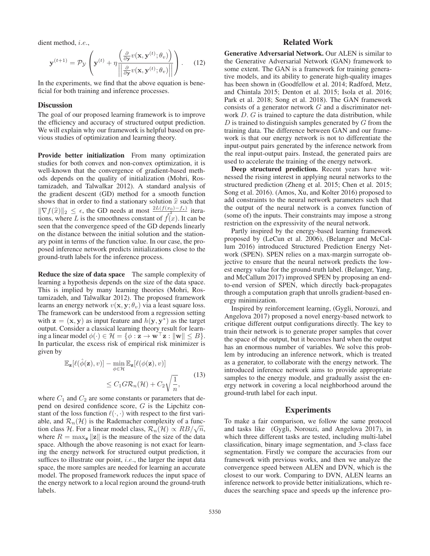dient method, i.e.,

$$
\mathbf{y}^{(t+1)} = \mathcal{P}_{\mathcal{Y}}\left(\mathbf{y}^{(t)} + \eta \frac{\left(\frac{\partial}{\partial \mathbf{y}} v(\mathbf{x}, \mathbf{y}^{(t)}; \theta_v)\right)}{\left\|\frac{\partial}{\partial \mathbf{y}} v(\mathbf{x}, \mathbf{y}^{(t)}; \theta_v)\right\|}\right).
$$
 (12)

In the experiments, we find that the above equation is beneficial for both training and inference processes.

#### **Discussion**

The goal of our proposed learning framework is to improve the efficiency and accuracy of structured output prediction. We will explain why our framework is helpful based on previous studies of optimization and learning theory.

Provide better initialization From many optimization studies for both convex and non-convex optimization, it is well-known that the convergence of gradient-based methods depends on the quality of initialization (Mohri, Rostamizadeh, and Talwalkar 2012). A standard analysis of the gradient descent (GD) method for a smooth function shows that in order to find a stationary solution  $\hat{x}$  such that  $||\nabla f(\hat{x})|| \leq \epsilon$  the GD needs at most  ${}^{2L(f(x_0)-f_*)}$  items  $\|\nabla f(\hat{x})\|_2 \leq \epsilon$ , the GD needs at most  $\frac{2L(f(x_0)-f_*)}{\epsilon^2}$  itera-<br>tions where L is the smoothness constant of  $f^{(2)}(x)$ . It can be tions, where L is the smoothness constant of  $f(x)$ . It can be seen that the convergence speed of the GD depends linearly on the distance between the initial solution and the stationary point in terms of the function value. In our case, the proposed inference network predicts initializations close to the ground-truth labels for the inference process.

Reduce the size of data space The sample complexity of learning a hypothesis depends on the size of the data space. This is implied by many learning theories (Mohri, Rostamizadeh, and Talwalkar 2012). The proposed framework learns an energy network  $v(\mathbf{x}, \mathbf{y}; \theta_v)$  via a least square loss. The framework can be understood from a regression setting with  $z = (x, y)$  as input feature and  $h(y, y^*)$  as the target output. Consider a classical learning theory result for learning a linear model  $\phi(\cdot) \in \mathcal{H} = \{\phi : \mathbf{z} \to \mathbf{w}^\top \mathbf{z} : ||\mathbf{w}|| \leq B\}.$ In particular, the excess risk of empirical risk minimizer is given by

$$
\mathbb{E}_{\mathbf{z}}[\ell(\hat{\phi}(\mathbf{z}), v)] - \min_{\phi \in \mathcal{H}} \mathbb{E}_{\mathbf{z}}[\ell(\phi(\mathbf{z}), v)]
$$
  
\n
$$
\leq C_1 G \mathcal{R}_n(\mathcal{H}) + C_2 \sqrt{\frac{1}{n}},
$$
\n(13)

where  $C_1$  and  $C_2$  are some constants or parameters that depend on desired confidence score, G is the Lipchitz constant of the loss function  $\ell(\cdot, \cdot)$  with respect to the first variable, and  $\mathcal{R}_n(\mathcal{H})$  is the Rademacher complexity of a function class H. For a linear model class,  $\mathcal{R}_n(\mathcal{H}) \propto RB/\sqrt{n}$ , where  $R = \max_{\mathbf{z}} ||\mathbf{z}||$  is the measure of the size of the data space. Although the above reasoning is not exact for learning the energy network for structured output prediction, it suffices to illustrate our point, *i.e.*, the larger the input data space, the more samples are needed for learning an accurate model. The proposed framework reduces the input space of the energy network to a local region around the ground-truth labels.

# Related Work

Generative Adversarial Network. Our ALEN is similar to the Generative Adversarial Network (GAN) framework to some extent. The GAN is a framework for training generative models, and its ability to generate high-quality images has been shown in (Goodfellow et al. 2014; Radford, Metz, and Chintala 2015; Denton et al. 2015; Isola et al. 2016; Park et al. 2018; Song et al. 2018). The GAN framework consists of a generator network G and a discriminator network  $D$ .  $G$  is trained to capture the data distribution, while  $D$  is trained to distinguish samples generated by  $G$  from the training data. The difference between GAN and our framework is that our energy network is not to differentiate the input-output pairs generated by the inference network from the real input-output pairs. Instead, the generated pairs are used to accelerate the training of the energy network.

Deep structured prediction. Recent years have witnessed the rising interest in applying neural networks to the structured prediction (Zheng et al. 2015; Chen et al. 2015; Song et al. 2016). (Amos, Xu, and Kolter 2016) proposed to add constraints to the neural network parameters such that the output of the neural network is a convex function of (some of) the inputs. Their constraints may impose a strong restriction on the expressivity of the neural network.

Partly inspired by the energy-based learning framework proposed by (LeCun et al. 2006), (Belanger and McCallum 2016) introduced Structured Prediction Energy Network (SPEN). SPEN relies on a max-margin surrogate objective to ensure that the neural network predicts the lowest energy value for the ground-truth label. (Belanger, Yang, and McCallum 2017) improved SPEN by proposing an endto-end version of SPEN, which directly back-propagates through a computation graph that unrolls gradient-based energy minimization.

Inspired by reinforcement learning, (Gygli, Norouzi, and Angelova 2017) proposed a novel energy-based network to critique different output configurations directly. The key to train their network is to generate proper samples that cover the space of the output, but it becomes hard when the output has an enormous number of variables. We solve this problem by introducing an inference network, which is treated as a generator, to collaborate with the energy network. The introduced inference network aims to provide appropriate samples to the energy module, and gradually assist the energy network in covering a local neighborhood around the ground-truth label for each input.

## **Experiments**

To make a fair comparison, we follow the same protocol and tasks like (Gygli, Norouzi, and Angelova 2017), in which three different tasks are tested, including multi-label classification, binary image segmentation, and 3-class face segmentation. Firstly we compare the accuracies from our framework with previous works, and then we analyze the convergence speed between ALEN and DVN, which is the closest to our work. Comparing to DVN, ALEN learns an inference network to provide better initializations, which reduces the searching space and speeds up the inference pro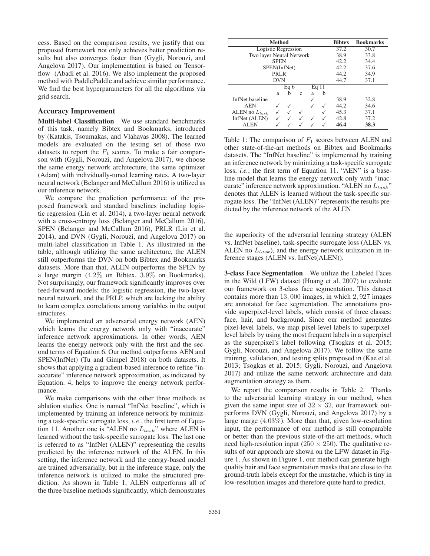cess. Based on the comparison results, we justify that our proposed framework not only achieves better prediction results but also converges faster than (Gygli, Norouzi, and Angelova 2017). Our implementation is based on Tensorflow (Abadi et al. 2016). We also implement the proposed method with PaddlePaddle and achieve similar performance. We find the best hyperparameters for all the algorithms via grid search.

#### Accuracy Improvement

Multi-label Classification We use standard benchmarks of this task, namely Bibtex and Bookmarks, introduced by (Katakis, Tsoumakas, and Vlahavas 2008). The learned models are evaluated on the testing set of those two datasets to report the  $F_1$  scores. To make a fair comparison with (Gygli, Norouzi, and Angelova 2017), we choose the same energy network architecture, the same optimizer (Adam) with individually-tuned learning rates. A two-layer neural network (Belanger and McCallum 2016) is utilized as our inference network.

We compare the prediction performance of the proposed framework and standard baselines including logistic regression (Lin et al. 2014), a two-layer neural network with a cross-entropy loss (Belanger and McCallum 2016), SPEN (Belanger and McCallum 2016), PRLR (Lin et al. 2014), and DVN (Gygli, Norouzi, and Angelova 2017) on multi-label classification in Table 1. As illustrated in the table, although utilizing the same architecture, the ALEN still outperforms the DVN on both Bibtex and Bookmarks datasets. More than that, ALEN outperforms the SPEN by a large margin (4.2% on Bibtex, 3.9% on Bookmarks). Not surprisingly, our framework significantly improves over feed-forward models: the logistic regression, the two-layer neural network, and the PRLP, which are lacking the ability to learn complex correlations among variables in the output structures.

We implemented an adversarial energy network (AEN) which learns the energy network only with "inaccurate" inference network approximations. In other words, AEN learns the energy network only with the first and the second terms of Equation 6. Our method outperforms AEN and SPEN(InfNet) (Tu and Gimpel 2018) on both datasets. It shows that applying a gradient-based inference to refine "inaccurate" inference network approximation, as indicated by Equation. 4, helps to improve the energy network performance.

We make comparisons with the other three methods as ablation studies. One is named "InfNet baseline", which is implemented by training an inference network by minimizing a task-specific surrogate loss, i.e., the first term of Equation 11. Another one is "ALEN no  $L_{task}$ " where ALEN is learned without the task-specific surrogate loss. The last one is referred to as "InfNet (ALEN)" representing the results predicted by the inference network of the ALEN. In this setting, the inference network and the energy-based model are trained adversarially, but in the inference stage, only the inference network is utilized to make the structured prediction. As shown in Table 1, ALEN outperforms all of the three baseline methods significantly, which demonstrates

| <b>Method</b>            | <b>Bibtex</b>     | <b>Bookmarks</b> |              |   |   |      |      |
|--------------------------|-------------------|------------------|--------------|---|---|------|------|
| Logistic Regression      | $\overline{37.2}$ | 30.7             |              |   |   |      |      |
| Two layer Neural Network | 38.9              | 33.8             |              |   |   |      |      |
|                          | 42.2              | 34.4             |              |   |   |      |      |
| SPEN(InfNet)             | 42.2              | 37.6             |              |   |   |      |      |
| PRL <sub>R</sub>         | 44.2              | 34.9             |              |   |   |      |      |
|                          | 44.7              | 37.1             |              |   |   |      |      |
|                          |                   |                  |              |   |   |      |      |
|                          | a                 | b                | $\mathbf{c}$ | a | b |      |      |
| InfNet baseline          |                   |                  |              |   |   | 38.9 | 32.8 |
| <b>AEN</b>               |                   |                  |              |   |   | 44.2 | 34.6 |
| ALEN no $L_{task}$       |                   |                  |              |   |   | 45.3 | 37.1 |
| InfNet (ALEN)            |                   |                  |              |   |   | 42.8 | 37.2 |
| <b>ALEN</b>              |                   |                  |              |   |   | 46.4 | 38.3 |

Table 1: The comparison of  $F_1$  scores between ALEN and other state-of-the-art methods on Bibtex and Bookmarks datasets. The "InfNet baseline" is implemented by training an inference network by minimizing a task-specifc surrogate loss, *i.e.*, the first term of Equation 11. "AEN" is a baseline model that learns the energy network only with "inaccurate" inference network approximation. "ALEN no  $L_{task}$ " denotes that ALEN is learned without the task-specific surrogate loss. The "InfNet (ALEN)" represents the results predicted by the inference network of the ALEN.

the superiority of the adversarial learning strategy (ALEN vs. InfNet baseline), task-specific surrogate loss (ALEN vs. ALEN no  $L_{task}$ ), and the energy network utilization in inference stages (ALEN vs. InfNet(ALEN)).

3-class Face Segmentation We utilize the Labeled Faces in the Wild (LFW) dataset (Huang et al. 2007) to evaluate our framework on 3-class face segmentation. This dataset contains more than 13, 000 images, in which 2, 927 images are annotated for face segmentation. The annotations provide superpixel-level labels, which consist of three classes: face, hair, and background. Since our method generates pixel-level labels, we map pixel-level labels to superpixellevel labels by using the most frequent labels in a superpixel as the superpixel's label following (Tsogkas et al. 2015; Gygli, Norouzi, and Angelova 2017). We follow the same training, validation, and testing splits proposed in (Kae et al. 2013; Tsogkas et al. 2015; Gygli, Norouzi, and Angelova 2017) and utilize the same network architecture and data augmentation strategy as them.

We report the comparison results in Table 2. Thanks to the adversarial learning strategy in our method, when given the same input size of  $32 \times 32$ , our framework outperforms DVN (Gygli, Norouzi, and Angelova 2017) by a large marge (4.03%). More than that, given low-resolution input, the performance of our method is still comparable or better than the previous state-of-the-art methods, which need high-resolution input ( $250 \times 250$ ). The qualitative results of our approach are shown on the LFW dataset in Figure 1. As shown in Figure 1, our method can generate highquality hair and face segmentation masks that are close to the ground-truth labels except for the mustache, which is tiny in low-resolution images and therefore quite hard to predict.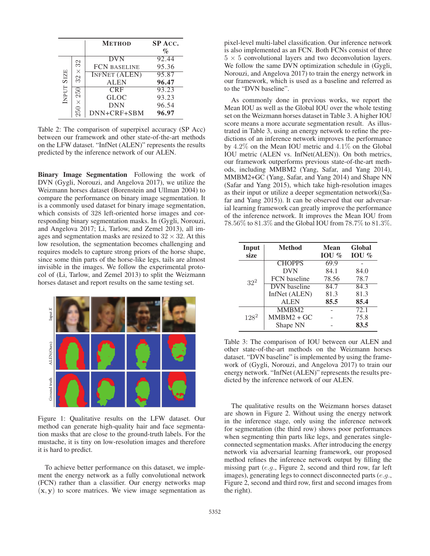|            |                                                | <b>METHOD</b>                                                                                                                      | <b>SP ACC.</b><br>$\mathcal{O}_0$                                    |
|------------|------------------------------------------------|------------------------------------------------------------------------------------------------------------------------------------|----------------------------------------------------------------------|
| INPUT SIZE | 32<br>$\times$<br>32<br>250<br>$\times$<br>250 | <b>DVN</b><br><b>FCN BASELINE</b><br><b>INFNET (ALEN)</b><br><b>ALEN</b><br><b>CRF</b><br><b>GLOC</b><br><b>DNN</b><br>DNN+CRF+SBM | 92.44<br>95.36<br>95.87<br>96.47<br>93.23<br>93.23<br>96.54<br>96.97 |

Table 2: The comparison of superpixel accuracy (SP Acc) between our framework and other state-of-the-art methods on the LFW dataset. "InfNet (ALEN)" represents the results predicted by the inference network of our ALEN.

Binary Image Segmentation Following the work of DVN (Gygli, Norouzi, and Angelova 2017), we utilize the Weizmann horses dataset (Borenstein and Ullman 2004) to compare the performance on binary image segmentation. It is a commonly used dataset for binary image segmentation, which consists of 328 left-oriented horse images and corresponding binary segmentation masks. In (Gygli, Norouzi, and Angelova 2017; Li, Tarlow, and Zemel 2013), all images and segmentation masks are resized to  $32 \times 32$ . At this low resolution, the segmentation becomes challenging and requires models to capture strong priors of the horse shape, since some thin parts of the horse-like legs, tails are almost invisible in the images. We follow the experimental protocol of (Li, Tarlow, and Zemel 2013) to split the Weizmann horses dataset and report results on the same testing set.



Figure 1: Qualitative results on the LFW dataset. Our method can generate high-quality hair and face segmentation masks that are close to the ground-truth labels. For the mustache, it is tiny on low-resolution images and therefore it is hard to predict.

To achieve better performance on this dataset, we implement the energy network as a fully convolutional network (FCN) rather than a classifier. Our energy networks map  $(x, y)$  to score matrices. We view image segmentation as

pixel-level multi-label classification. Our inference network is also implemented as an FCN. Both FCNs consist of three  $5 \times 5$  convolutional layers and two deconvolution layers. We follow the same DVN optimization schedule in (Gygli, Norouzi, and Angelova 2017) to train the energy network in our framework, which is used as a baseline and referred as to the "DVN baseline".

As commonly done in previous works, we report the Mean IOU as well as the Global IOU over the whole testing set on the Weizmann horses dataset in Table 3. A higher IOU score means a more accurate segmentation result. As illustrated in Table 3, using an energy network to refine the predictions of an inference network improves the performance by 4.2% on the Mean IOU metric and 4.1% on the Global IOU metric (ALEN vs. InfNet(ALEN)). On both metrics, our framework outperforms previous state-of-the-art methods, including MMBM2 (Yang, Safar, and Yang 2014), MMBM2+GC (Yang, Safar, and Yang 2014) and Shape NN (Safar and Yang 2015), which take high-resolution images as their input or utilize a deeper segmentation network((Safar and Yang 2015)). It can be observed that our adversarial learning framework can greatly improve the performance of the inference network. It improves the Mean IOU from 78.56% to 81.3% and the Global IOU from 78.7% to 81.3%.

| Input<br>size | <b>Method</b>       | <b>Mean</b><br>IOU $\%$ | Global<br>IOU $\%$ |
|---------------|---------------------|-------------------------|--------------------|
| $32^2$        | <b>CHOPPS</b>       | 69.9                    |                    |
|               | <b>DVN</b>          | 84.1                    | 84.0               |
|               | <b>FCN</b> baseline | 78.56                   | 78.7               |
|               | DVN baseline        | 84.7                    | 84.3               |
|               | InfNet (ALEN)       | 81.3                    | 81.3               |
|               | <b>ALEN</b>         | 85.5                    | 85.4               |
| $128^2$       | MMBM2               |                         | 72.1               |
|               | $MMBM2+GC$          |                         | 75.8               |
|               | Shape NN            |                         | 83.5               |

Table 3: The comparison of IOU between our ALEN and other state-of-the-art methods on the Weizmann horses dataset. "DVN baseline" is implemented by using the framework of (Gygli, Norouzi, and Angelova 2017) to train our energy network. "InfNet (ALEN)" represents the results predicted by the inference network of our ALEN.

The qualitative results on the Weizmann horses dataset are shown in Figure 2. Without using the energy network in the inference stage, only using the inference network for segmentation (the third row) shows poor performances when segmenting thin parts like legs, and generates singleconnected segmentation masks. After introducing the energy network via adversarial learning framework, our proposed method refines the inference network output by filling the missing part (e.g., Figure 2, second and third row, far left images), generating legs to connect disconnected parts (e.g., Figure 2, second and third row, first and second images from the right).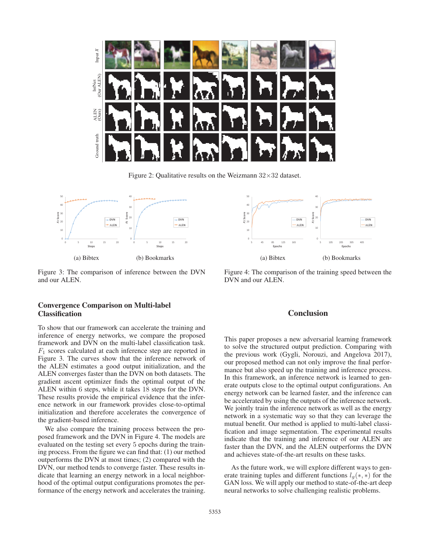

Figure 2: Qualitative results on the Weizmann  $32 \times 32$  dataset.



Figure 3: The comparison of inference between the DVN and our ALEN.

# Convergence Comparison on Multi-label Classification

To show that our framework can accelerate the training and inference of energy networks, we compare the proposed framework and DVN on the multi-label classification task.  $F_1$  scores calculated at each inference step are reported in Figure 3. The curves show that the inference network of the ALEN estimates a good output initialization, and the ALEN converges faster than the DVN on both datasets. The gradient ascent optimizer finds the optimal output of the ALEN within 6 steps, while it takes 18 steps for the DVN. These results provide the empirical evidence that the inference network in our framework provides close-to-optimal initialization and therefore accelerates the convergence of the gradient-based inference.

We also compare the training process between the proposed framework and the DVN in Figure 4. The models are evaluated on the testing set every 5 epochs during the training process. From the figure we can find that: (1) our method outperforms the DVN at most times; (2) compared with the DVN, our method tends to converge faster. These results indicate that learning an energy network in a local neighborhood of the optimal output configurations promotes the performance of the energy network and accelerates the training.



Figure 4: The comparison of the training speed between the DVN and our ALEN.

# **Conclusion**

This paper proposes a new adversarial learning framework to solve the structured output prediction. Comparing with the previous work (Gygli, Norouzi, and Angelova 2017), our proposed method can not only improve the final performance but also speed up the training and inference process. In this framework, an inference network is learned to generate outputs close to the optimal output configurations. An energy network can be learned faster, and the inference can be accelerated by using the outputs of the inference network. We jointly train the inference network as well as the energy network in a systematic way so that they can leverage the mutual benefit. Our method is applied to multi-label classification and image segmentation. The experimental results indicate that the training and inference of our ALEN are faster than the DVN, and the ALEN outperforms the DVN and achieves state-of-the-art results on these tasks.

As the future work, we will explore different ways to generate training tuples and different functions  $l_q(*, *)$  for the GAN loss. We will apply our method to state-of-the-art deep neural networks to solve challenging realistic problems.